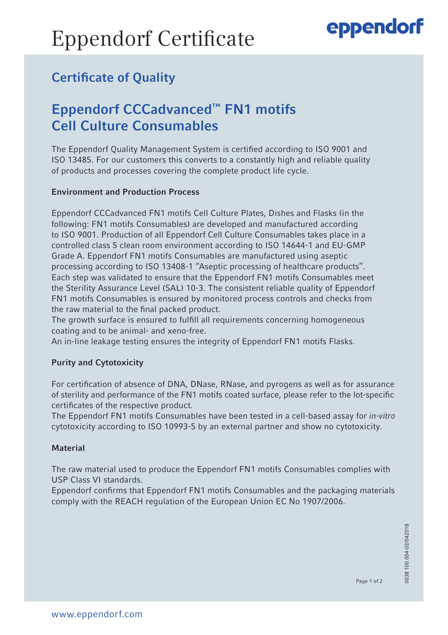# Eppendorf Certificate

## eppendorf

### Certificate of Quality

### Eppendorf CCCadvanced™ FN1 motifs Cell Culture Consumables

The Eppendorf Quality Management System is certified according to ISO 9001 and ISO 13485. For our customers this converts to a constantly high and reliable quality of products and processes covering the complete product life cycle.

### Environment and Production Process

Eppendorf CCCadvanced FN1 motifs Cell Culture Plates, Dishes and Flasks (in the following: FN1 motifs Consumables) are developed and manufactured according to ISO 9001. Production of all Eppendorf Cell Culture Consumables takes place in a controlled class 5 clean room environment according to ISO 14644-1 and EU-GMP Grade A. Eppendorf FN1 motifs Consumables are manufactured using aseptic processing according to ISO 13408-1 "Aseptic processing of healthcare products". Each step was validated to ensure that the Eppendorf FN1 motifs Consumables meet the Sterility Assurance Level (SAL) 10-3. The consistent reliable quality of Eppendorf FN1 motifs Consumables is ensured by monitored process controls and checks from the raw material to the final packed product.

The growth surface is ensured to fulfill all requirements concerning homogeneous coating and to be animal- and xeno-free.

An in-line leakage testing ensures the integrity of Eppendorf FN1 motifs Flasks.

### Purity and Cytotoxicity

For certification of absence of DNA, DNase, RNase, and pyrogens as well as for assurance of sterility and performance of the FN1 motifs coated surface, please refer to the lot-specific certificates of the respective product.

The Eppendorf FN1 motifs Consumables have been tested in a cell-based assay for *in-vitro* cytotoxicity according to ISO 10993-5 by an external partner and show no cytotoxicity.

#### **Material**

The raw material used to produce the Eppendorf FN1 motifs Consumables complies with USP Class VI standards.

Eppendorf confirms that Eppendorf FN1 motifs Consumables and the packaging materials comply with the REACH regulation of the European Union EC No 1907/2006.